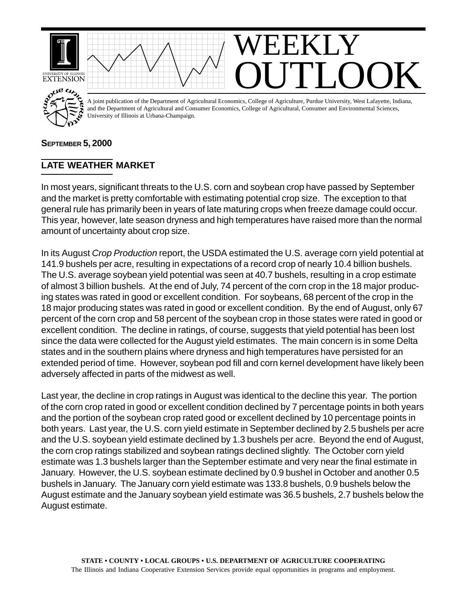

## **SEPTEMBER 5, 2000**

## **LATE WEATHER MARKET**

In most years, significant threats to the U.S. corn and soybean crop have passed by September and the market is pretty comfortable with estimating potential crop size. The exception to that general rule has primarily been in years of late maturing crops when freeze damage could occur. This year, however, late season dryness and high temperatures have raised more than the normal amount of uncertainty about crop size.

In its August *Crop Production* report, the USDA estimated the U.S. average corn yield potential at 141.9 bushels per acre, resulting in expectations of a record crop of nearly 10.4 billion bushels. The U.S. average soybean yield potential was seen at 40.7 bushels, resulting in a crop estimate of almost 3 billion bushels. At the end of July, 74 percent of the corn crop in the 18 major producing states was rated in good or excellent condition. For soybeans, 68 percent of the crop in the 18 major producing states was rated in good or excellent condition. By the end of August, only 67 percent of the corn crop and 58 percent of the soybean crop in those states were rated in good or excellent condition. The decline in ratings, of course, suggests that yield potential has been lost since the data were collected for the August yield estimates. The main concern is in some Delta states and in the southern plains where dryness and high temperatures have persisted for an extended period of time. However, soybean pod fill and corn kernel development have likely been adversely affected in parts of the midwest as well.

Last year, the decline in crop ratings in August was identical to the decline this year. The portion of the corn crop rated in good or excellent condition declined by 7 percentage points in both years and the portion of the soybean crop rated good or excellent declined by 10 percentage points in both years. Last year, the U.S. corn yield estimate in September declined by 2.5 bushels per acre and the U.S. soybean yield estimate declined by 1.3 bushels per acre. Beyond the end of August, the corn crop ratings stabilized and soybean ratings declined slightly. The October corn yield estimate was 1.3 bushels larger than the September estimate and very near the final estimate in January. However, the U.S. soybean estimate declined by 0.9 bushel in October and another 0.5 bushels in January. The January corn yield estimate was 133.8 bushels, 0.9 bushels below the August estimate and the January soybean yield estimate was 36.5 bushels, 2.7 bushels below the August estimate.